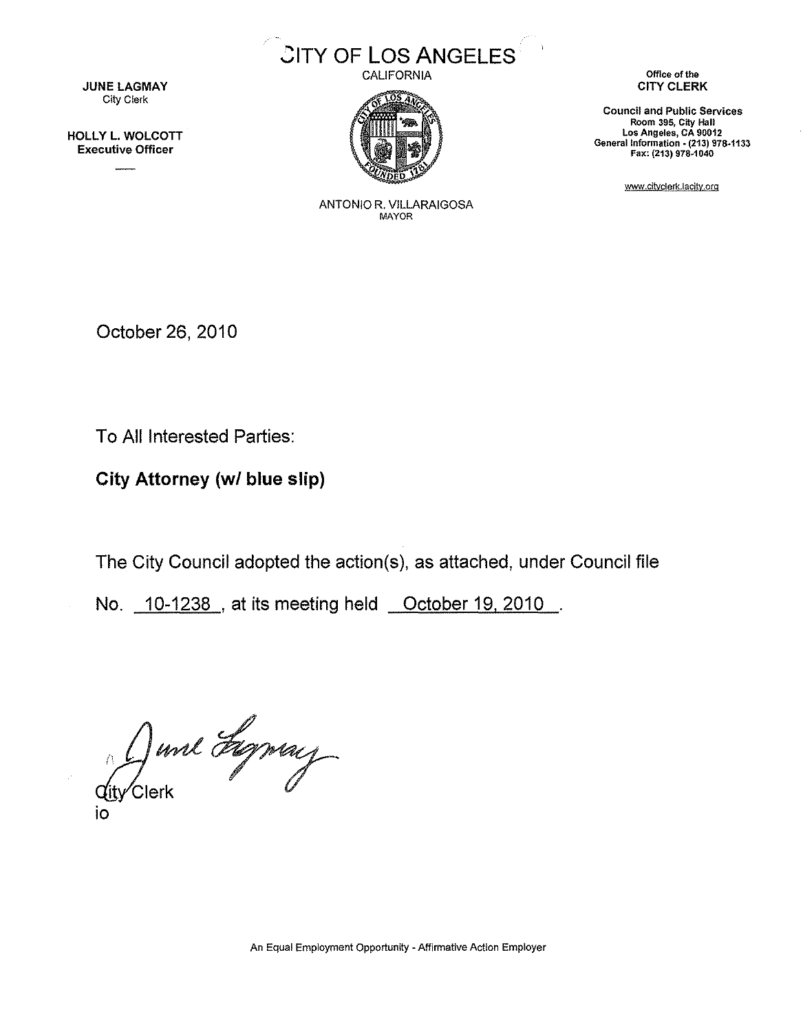

CALIFORNIA



**JUNE LAGMAY** City Clerk

HOLLY L. WOLCOTT Executive Officer

Office of the CITY CLERK

Council and Public Services Room 395, City Hall Los Angeles, CA 90012 General Information- (213) 978-1133 Fax: (213) 978-1040

www.citvclerk.!acitv.org

ANTONIO R. VILLARAIGOSA MAYOR

October 26, 2010

To All Interested Parties:

City Attorney (w/ blue slip)

The City Council adopted the action(s), as attached, under Council file

No. 10-1238 , at its meeting held October 19, 2010

div Clerk